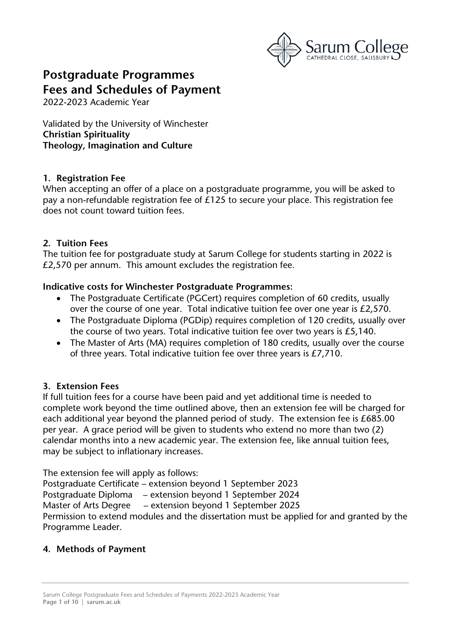

# **Postgraduate Programmes Fees and Schedules of Payment**

2022-2023 Academic Year

Validated by the University of Winchester **Christian Spirituality Theology, Imagination and Culture**

#### **1. Registration Fee**

When accepting an offer of a place on a postgraduate programme, you will be asked to pay a non-refundable registration fee of £125 to secure your place. This registration fee does not count toward tuition fees.

# **2. Tuition Fees**

The tuition fee for postgraduate study at Sarum College for students starting in 2022 is £2,570 per annum. This amount excludes the registration fee.

#### **Indicative costs for Winchester Postgraduate Programmes:**

- The Postgraduate Certificate (PGCert) requires completion of 60 credits, usually over the course of one year. Total indicative tuition fee over one year is £2,570.
- The Postgraduate Diploma (PGDip) requires completion of 120 credits, usually over the course of two years. Total indicative tuition fee over two years is £5,140.
- The Master of Arts (MA) requires completion of 180 credits, usually over the course of three years. Total indicative tuition fee over three years is £7,710.

# **3. Extension Fees**

If full tuition fees for a course have been paid and yet additional time is needed to complete work beyond the time outlined above, then an extension fee will be charged for each additional year beyond the planned period of study. The extension fee is £685.00 per year. A grace period will be given to students who extend no more than two (2) calendar months into a new academic year. The extension fee, like annual tuition fees, may be subject to inflationary increases.

The extension fee will apply as follows:

Postgraduate Certificate – extension beyond 1 September 2023 Postgraduate Diploma – extension beyond 1 September 2024 Master of Arts Degree – extension beyond 1 September 2025 Permission to extend modules and the dissertation must be applied for and granted by the Programme Leader.

# **4. Methods of Payment**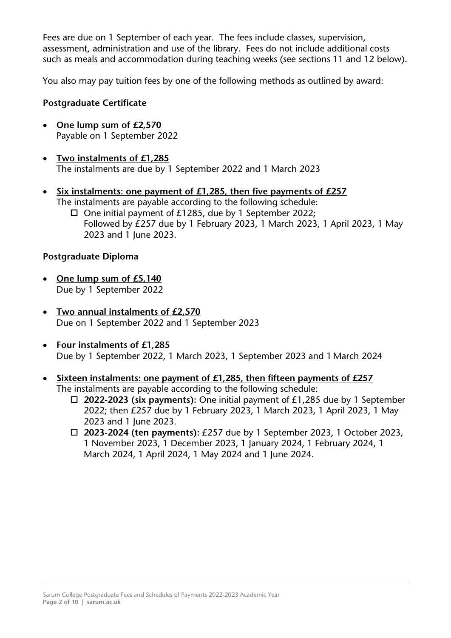Fees are due on 1 September of each year. The fees include classes, supervision, assessment, administration and use of the library. Fees do not include additional costs such as meals and accommodation during teaching weeks (see sections 11 and 12 below).

You also may pay tuition fees by one of the following methods as outlined by award:

## **Postgraduate Certificate**

- **One lump sum of £2,570** Payable on 1 September 2022
- **Two instalments of £1,285** The instalments are due by 1 September 2022 and 1 March 2023
- **Six instalments: one payment of £1,285, then five payments of £257** The instalments are payable according to the following schedule:  $\square$  One initial payment of £1285, due by 1 September 2022;
	- Followed by £257 due by 1 February 2023, 1 March 2023, 1 April 2023, 1 May 2023 and 1 June 2023.

#### **Postgraduate Diploma**

- **One lump sum of £5,140** Due by 1 September 2022
- **Two annual instalments of £2,570** Due on 1 September 2022 and 1 September 2023
- **Four instalments of £1,285** Due by 1 September 2022, 1 March 2023, 1 September 2023 and 1 March 2024
- **Sixteen instalments: one payment of £1,285, then fifteen payments of £257** The instalments are payable according to the following schedule:
	- **2022-2023 (six payments):** One initial payment of £1,285 due by 1 September 2022; then £257 due by 1 February 2023, 1 March 2023, 1 April 2023, 1 May 2023 and 1 June 2023.
	- **2023-2024 (ten payments):** £257 due by 1 September 2023, 1 October 2023, 1 November 2023, 1 December 2023, 1 January 2024, 1 February 2024, 1 March 2024, 1 April 2024, 1 May 2024 and 1 June 2024.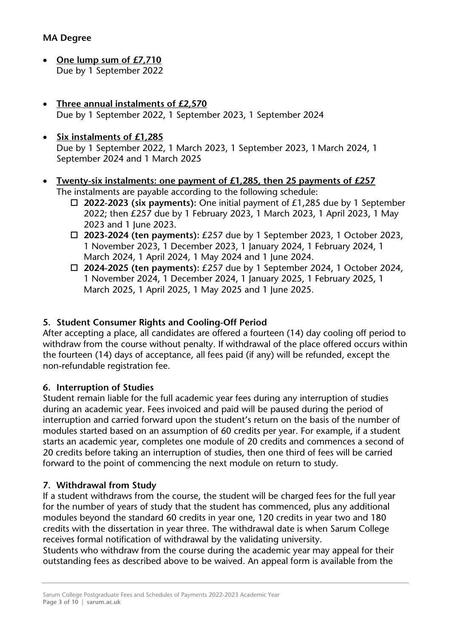- **One lump sum of £7,710** Due by 1 September 2022
- **Three annual instalments of £2,570** Due by 1 September 2022, 1 September 2023, 1 September 2024
- **Six instalments of £1,285** Due by 1 September 2022, 1 March 2023, 1 September 2023, 1 March 2024, 1 September 2024 and 1 March 2025
- **Twenty-six instalments: one payment of £1,285, then 25 payments of £257** The instalments are payable according to the following schedule:
	- **2022-2023 (six payments):** One initial payment of £1,285 due by 1 September 2022; then £257 due by 1 February 2023, 1 March 2023, 1 April 2023, 1 May 2023 and 1 June 2023.
	- **2023-2024 (ten payments):** £257 due by 1 September 2023, 1 October 2023, 1 November 2023, 1 December 2023, 1 January 2024, 1 February 2024, 1 March 2024, 1 April 2024, 1 May 2024 and 1 June 2024.
	- **2024-2025 (ten payments):** £257 due by 1 September 2024, 1 October 2024, 1 November 2024, 1 December 2024, 1 January 2025, 1 February 2025, 1 March 2025, 1 April 2025, 1 May 2025 and 1 June 2025.

# **5. Student Consumer Rights and Cooling-Off Period**

After accepting a place, all candidates are offered a fourteen (14) day cooling off period to withdraw from the course without penalty. If withdrawal of the place offered occurs within the fourteen (14) days of acceptance, all fees paid (if any) will be refunded, except the non-refundable registration fee.

# **6. Interruption of Studies**

Student remain liable for the full academic year fees during any interruption of studies during an academic year. Fees invoiced and paid will be paused during the period of interruption and carried forward upon the student's return on the basis of the number of modules started based on an assumption of 60 credits per year. For example, if a student starts an academic year, completes one module of 20 credits and commences a second of 20 credits before taking an interruption of studies, then one third of fees will be carried forward to the point of commencing the next module on return to study.

# **7. Withdrawal from Study**

If a student withdraws from the course, the student will be charged fees for the full year for the number of years of study that the student has commenced, plus any additional modules beyond the standard 60 credits in year one, 120 credits in year two and 180 credits with the dissertation in year three. The withdrawal date is when Sarum College receives formal notification of withdrawal by the validating university.

Students who withdraw from the course during the academic year may appeal for their outstanding fees as described above to be waived. An appeal form is available from the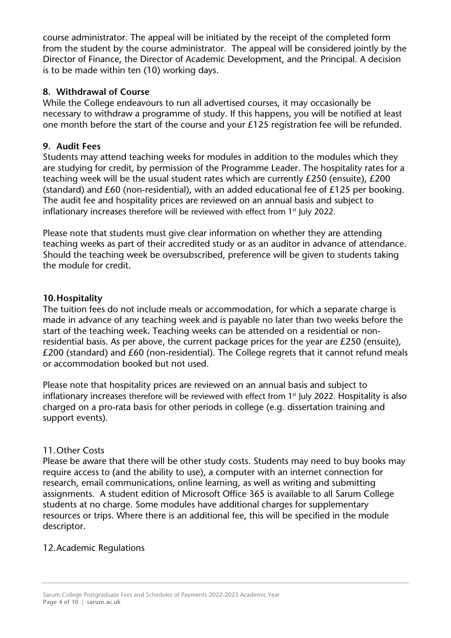course administrator. The appeal will be initiated by the receipt of the completed form from the student by the course administrator. The appeal will be considered jointly by the Director of Finance, the Director of Academic Development, and the Principal. A decision is to be made within ten (10) working days.

# **8. Withdrawal of Course**

While the College endeavours to run all advertised courses, it may occasionally be necessary to withdraw a programme of study. If this happens, you will be notified at least one month before the start of the course and your £125 registration fee will be refunded.

#### **9. Audit Fees**

Students may attend teaching weeks for modules in addition to the modules which they are studying for credit, by permission of the Programme Leader. The hospitality rates for a teaching week will be the usual student rates which are currently £250 (ensuite), £200 (standard) and £60 (non-residential), with an added educational fee of £125 per booking. The audit fee and hospitality prices are reviewed on an annual basis and subject to inflationary increases therefore will be reviewed with effect from  $1<sup>st</sup>$  July 2022.

Please note that students must give clear information on whether they are attending teaching weeks as part of their accredited study or as an auditor in advance of attendance. Should the teaching week be oversubscribed, preference will be given to students taking the module for credit.

#### **10.Hospitality**

The tuition fees do not include meals or accommodation, for which a separate charge is made in advance of any teaching week and is payable no later than two weeks before the start of the teaching week**.** Teaching weeks can be attended on a residential or nonresidential basis. As per above, the current package prices for the year are £250 (ensuite), £200 (standard) and £60 (non-residential). The College regrets that it cannot refund meals or accommodation booked but not used.

Please note that hospitality prices are reviewed on an annual basis and subject to inflationary increases therefore will be reviewed with effect from 1<sup>st</sup> July 2022. Hospitality is also charged on a pro-rata basis for other periods in college (e.g. dissertation training and support events).

#### 11.Other Costs

Please be aware that there will be other study costs. Students may need to buy books may require access to (and the ability to use), a computer with an internet connection for research, email communications, online learning, as well as writing and submitting assignments. A student edition of Microsoft Office 365 is available to all Sarum College students at no charge. Some modules have additional charges for supplementary resources or trips. Where there is an additional fee, this will be specified in the module descriptor.

#### 12.Academic Regulations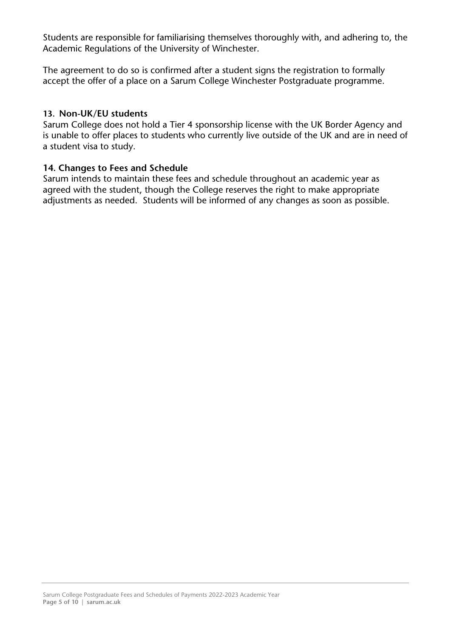Students are responsible for familiarising themselves thoroughly with, and adhering to, the Academic Regulations of the University of Winchester.

The agreement to do so is confirmed after a student signs the registration to formally accept the offer of a place on a Sarum College Winchester Postgraduate programme.

#### **13. Non-UK/EU students**

Sarum College does not hold a Tier 4 sponsorship license with the UK Border Agency and is unable to offer places to students who currently live outside of the UK and are in need of a student visa to study.

#### **14. Changes to Fees and Schedule**

Sarum intends to maintain these fees and schedule throughout an academic year as agreed with the student, though the College reserves the right to make appropriate adjustments as needed. Students will be informed of any changes as soon as possible.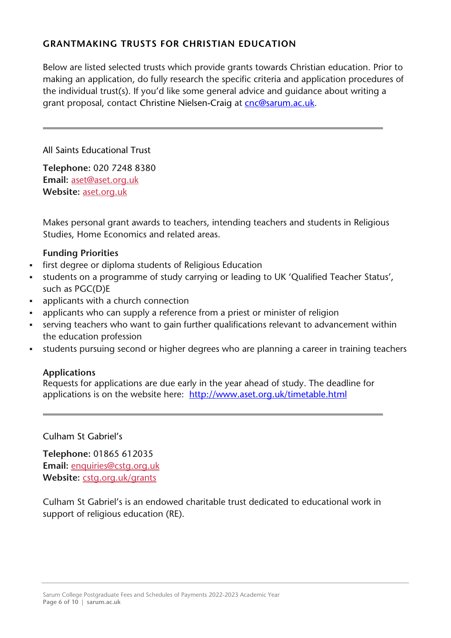# **GRANTMAKING TRUSTS FOR CHRISTIAN EDUCATION**

Below are listed selected trusts which provide grants towards Christian education. Prior to making an application, do fully research the specific criteria and application procedures of the individual trust(s). If you'd like some general advice and guidance about writing a grant proposal, contact Christine Nielsen-Craig at [cnc@sarum.ac.uk.](mailto:cnc@sarum.ac.uk)

All Saints Educational Trust

**Telephone:** 020 7248 8380 **Email:** [aset@aset.org.uk](mailto:aset@aset.org.uk) **Website:** [aset.org.uk](http://www.aset.org.uk/)

Makes personal grant awards to teachers, intending teachers and students in Religious Studies, Home Economics and related areas.

# **Funding Priorities**

- first degree or diploma students of Religious Education
- students on a programme of study carrying or leading to UK 'Qualified Teacher Status', such as PGC(D)E
- applicants with a church connection
- applicants who can supply a reference from a priest or minister of religion
- serving teachers who want to gain further qualifications relevant to advancement within the education profession
- students pursuing second or higher degrees who are planning a career in training teachers

# **Applications**

Requests for applications are due early in the year ahead of study. The deadline for applications is on the website here: <http://www.aset.org.uk/timetable.html>

Culham St Gabriel's

**Telephone:** 01865 612035 **Email:** [enquiries@cstg.org.uk](mailto:enquiries@cstg.org.uk) **Website:** [cstg.org.uk/grants](http://www.cstg.org.uk/grants)

Culham St Gabriel's is an endowed charitable trust dedicated to educational work in support of religious education (RE).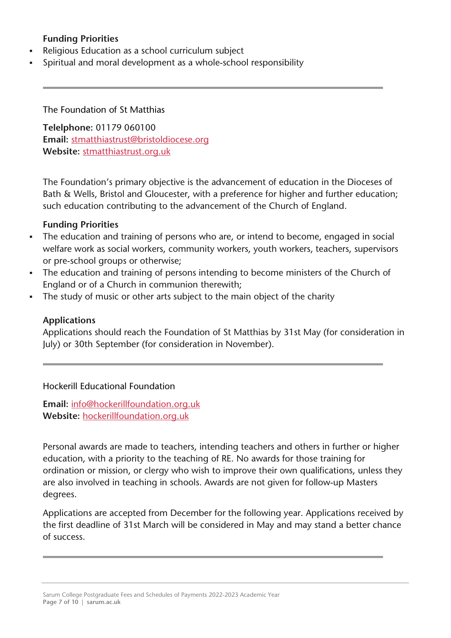# **Funding Priorities**

- Religious Education as a school curriculum subject
- Spiritual and moral development as a whole-school responsibility

The Foundation of St Matthias

**Telelphone:** 01179 060100 **Email:** [stmatthiastrust@bristoldiocese.org](mailto:stmatthiastrust@bristoldiocese.org) **Website:** [stmatthiastrust.org.uk](http://stmatthiastrust.org.uk/)

The Foundation's primary objective is the advancement of education in the Dioceses of Bath & Wells, Bristol and Gloucester, with a preference for higher and further education; such education contributing to the advancement of the Church of England.

# **Funding Priorities**

- The education and training of persons who are, or intend to become, engaged in social welfare work as social workers, community workers, youth workers, teachers, supervisors or pre-school groups or otherwise;
- The education and training of persons intending to become ministers of the Church of England or of a Church in communion therewith;
- The study of music or other arts subject to the main object of the charity

## **Applications**

Applications should reach the Foundation of St Matthias by 31st May (for consideration in July) or 30th September (for consideration in November).

# Hockerill Educational Foundation

**Email:** [info@hockerillfoundation.org.uk](mailto:info@hockerillfoundation.org.uk) **Website:** [hockerillfoundation.org.uk](http://hockerillfoundation.org.uk/)

Personal awards are made to teachers, intending teachers and others in further or higher education, with a priority to the teaching of RE. No awards for those training for ordination or mission, or clergy who wish to improve their own qualifications, unless they are also involved in teaching in schools. Awards are not given for follow-up Masters degrees.

Applications are accepted from December for the following year. Applications received by the first deadline of 31st March will be considered in May and may stand a better chance of success.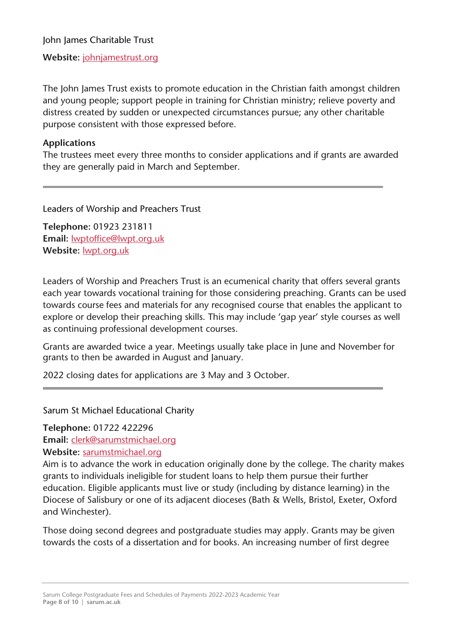John James Charitable Trust

**Website:** [johnjamestrust.org](http://johnjamestrust.org/)

The John James Trust exists to promote education in the Christian faith amongst children and young people; support people in training for Christian ministry; relieve poverty and distress created by sudden or unexpected circumstances pursue; any other charitable purpose consistent with those expressed before.

# **Applications**

The trustees meet every three months to consider applications and if grants are awarded they are generally paid in March and September.

Leaders of Worship and Preachers Trust

**Telephone:** 01923 231811 **Email:** [lwptoffice@lwpt.org.uk](mailto:lwptoffice@lwpt.org.uk) **Website:** [lwpt.org.uk](http://lwpt.org.uk/)

Leaders of Worship and Preachers Trust is an ecumenical charity that offers several grants each year towards vocational training for those considering preaching. Grants can be used towards course fees and materials for any recognised course that enables the applicant to explore or develop their preaching skills. This may include 'gap year' style courses as well as continuing professional development courses.

Grants are awarded twice a year. Meetings usually take place in June and November for grants to then be awarded in August and January.

2022 closing dates for applications are 3 May and 3 October.

Sarum St Michael Educational Charity

**Telephone:** 01722 422296

**Email:** [clerk@sarumstmichael.org](mailto:clerk@sarumstmichael.org)

**Website:** [sarumstmichael.org](http://sarumstmichael.org/)

Aim is to advance the work in education originally done by the college. The charity makes grants to individuals ineligible for student loans to help them pursue their further education. Eligible applicants must live or study (including by distance learning) in the Diocese of Salisbury or one of its adjacent dioceses (Bath & Wells, Bristol, Exeter, Oxford and Winchester).

Those doing second degrees and postgraduate studies may apply. Grants may be given towards the costs of a dissertation and for books. An increasing number of first degree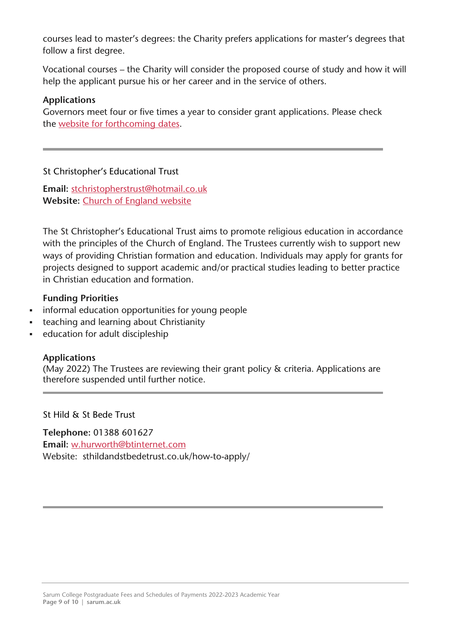courses lead to master's degrees: the Charity prefers applications for master's degrees that follow a first degree.

Vocational courses – the Charity will consider the proposed course of study and how it will help the applicant pursue his or her career and in the service of others.

# **Applications**

Governors meet four or five times a year to consider grant applications. Please check the website for [forthcoming](http://www.sarumstmichael.org/page4.html) dates.

# St Christopher's Educational Trust

**Email:** [stchristopherstrust@hotmail.co.uk](mailto:stchristopherstrust@hotmail.co.uk) **Website:** Church of [England](https://www.churchofengland.org/education/the-st-christopher) website

The St Christopher's Educational Trust aims to promote religious education in accordance with the principles of the Church of England. The Trustees currently wish to support new ways of providing Christian formation and education. Individuals may apply for grants for projects designed to support academic and/or practical studies leading to better practice in Christian education and formation.

# **Funding Priorities**

- informal education opportunities for young people
- teaching and learning about Christianity
- education for adult discipleship

# **Applications**

(May 2022) The Trustees are reviewing their grant policy & criteria. Applications are therefore suspended until further notice.

St Hild & St Bede Trust

**Telephone:** 01388 601627 **Email:** [w.hurworth@btinternet.com](mailto:w.hurworth@btinternet.com) Website: sthildandstbedetrust.co.uk/how-to-apply/